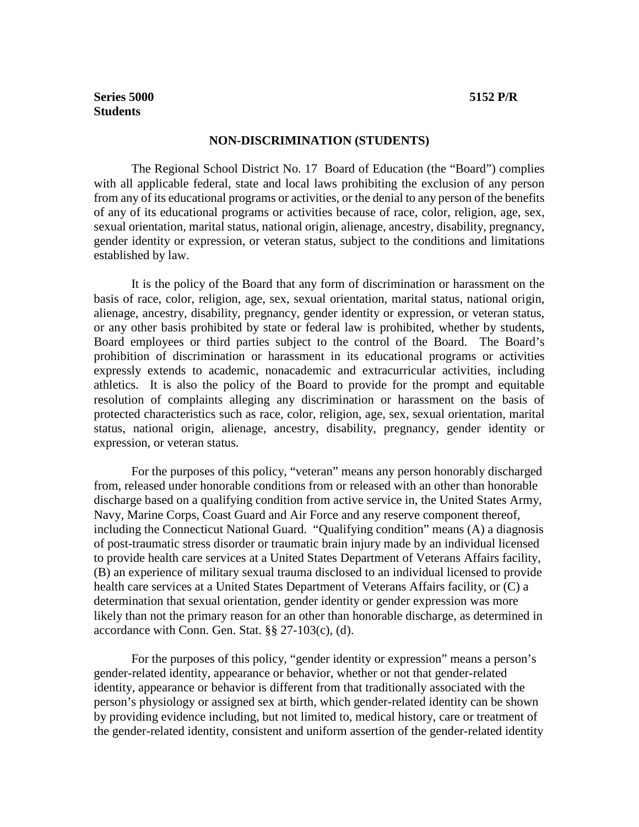#### **Series 5000 5152 P/R Students**

#### **NON-DISCRIMINATION (STUDENTS)**

The Regional School District No. 17 Board of Education (the "Board") complies with all applicable federal, state and local laws prohibiting the exclusion of any person from any of its educational programs or activities, or the denial to any person of the benefits of any of its educational programs or activities because of race, color, religion, age, sex, sexual orientation, marital status, national origin, alienage, ancestry, disability, pregnancy, gender identity or expression, or veteran status, subject to the conditions and limitations established by law.

It is the policy of the Board that any form of discrimination or harassment on the basis of race, color, religion, age, sex, sexual orientation, marital status, national origin, alienage, ancestry, disability, pregnancy, gender identity or expression, or veteran status, or any other basis prohibited by state or federal law is prohibited, whether by students, Board employees or third parties subject to the control of the Board. The Board's prohibition of discrimination or harassment in its educational programs or activities expressly extends to academic, nonacademic and extracurricular activities, including athletics. It is also the policy of the Board to provide for the prompt and equitable resolution of complaints alleging any discrimination or harassment on the basis of protected characteristics such as race, color, religion, age, sex, sexual orientation, marital status, national origin, alienage, ancestry, disability, pregnancy, gender identity or expression, or veteran status.

For the purposes of this policy, "veteran" means any person honorably discharged from, released under honorable conditions from or released with an other than honorable discharge based on a qualifying condition from active service in, the United States Army, Navy, Marine Corps, Coast Guard and Air Force and any reserve component thereof, including the Connecticut National Guard. "Qualifying condition" means (A) a diagnosis of post-traumatic stress disorder or traumatic brain injury made by an individual licensed to provide health care services at a United States Department of Veterans Affairs facility, (B) an experience of military sexual trauma disclosed to an individual licensed to provide health care services at a United States Department of Veterans Affairs facility, or (C) a determination that sexual orientation, gender identity or gender expression was more likely than not the primary reason for an other than honorable discharge, as determined in accordance with Conn. Gen. Stat. §§ 27-103(c), (d).

For the purposes of this policy, "gender identity or expression" means a person's gender-related identity, appearance or behavior, whether or not that gender-related identity, appearance or behavior is different from that traditionally associated with the person's physiology or assigned sex at birth, which gender-related identity can be shown by providing evidence including, but not limited to, medical history, care or treatment of the gender-related identity, consistent and uniform assertion of the gender-related identity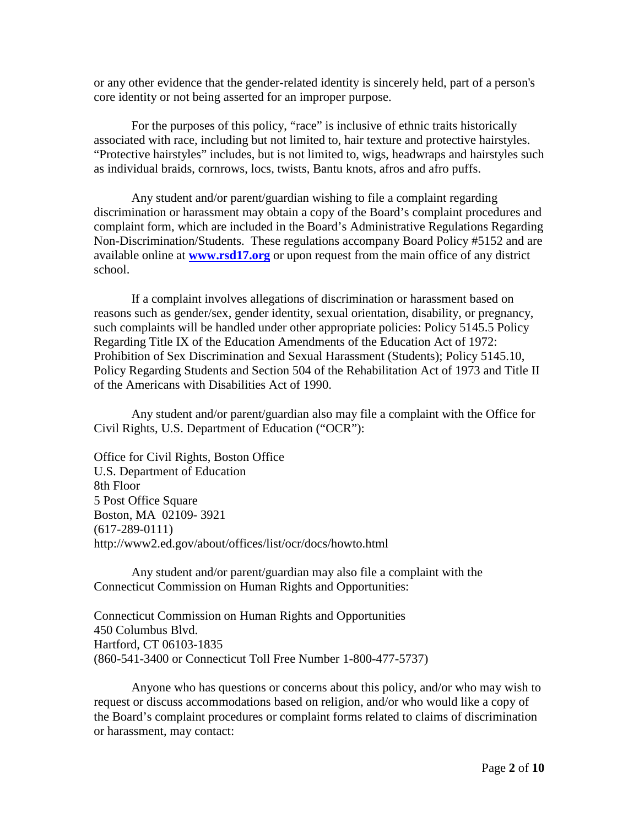or any other evidence that the gender-related identity is sincerely held, part of a person's core identity or not being asserted for an improper purpose.

For the purposes of this policy, "race" is inclusive of ethnic traits historically associated with race, including but not limited to, hair texture and protective hairstyles. "Protective hairstyles" includes, but is not limited to, wigs, headwraps and hairstyles such as individual braids, cornrows, locs, twists, Bantu knots, afros and afro puffs.

Any student and/or parent/guardian wishing to file a complaint regarding discrimination or harassment may obtain a copy of the Board's complaint procedures and complaint form, which are included in the Board's Administrative Regulations Regarding Non-Discrimination/Students. These regulations accompany Board Policy #5152 and are available online at **[www.rsd17.org](http://www.rsd17.org/)** or upon request from the main office of any district school.

If a complaint involves allegations of discrimination or harassment based on reasons such as gender/sex, gender identity, sexual orientation, disability, or pregnancy, such complaints will be handled under other appropriate policies: Policy 5145.5 Policy Regarding Title IX of the Education Amendments of the Education Act of 1972: Prohibition of Sex Discrimination and Sexual Harassment (Students); Policy 5145.10, Policy Regarding Students and Section 504 of the Rehabilitation Act of 1973 and Title II of the Americans with Disabilities Act of 1990.

Any student and/or parent/guardian also may file a complaint with the Office for Civil Rights, U.S. Department of Education ("OCR"):

Office for Civil Rights, Boston Office U.S. Department of Education 8th Floor 5 Post Office Square Boston, MA 02109- 3921 (617-289-0111) http://www2.ed.gov/about/offices/list/ocr/docs/howto.html

Any student and/or parent/guardian may also file a complaint with the Connecticut Commission on Human Rights and Opportunities:

Connecticut Commission on Human Rights and Opportunities 450 Columbus Blvd. Hartford, CT 06103-1835 (860-541-3400 or Connecticut Toll Free Number 1-800-477-5737)

Anyone who has questions or concerns about this policy, and/or who may wish to request or discuss accommodations based on religion, and/or who would like a copy of the Board's complaint procedures or complaint forms related to claims of discrimination or harassment, may contact: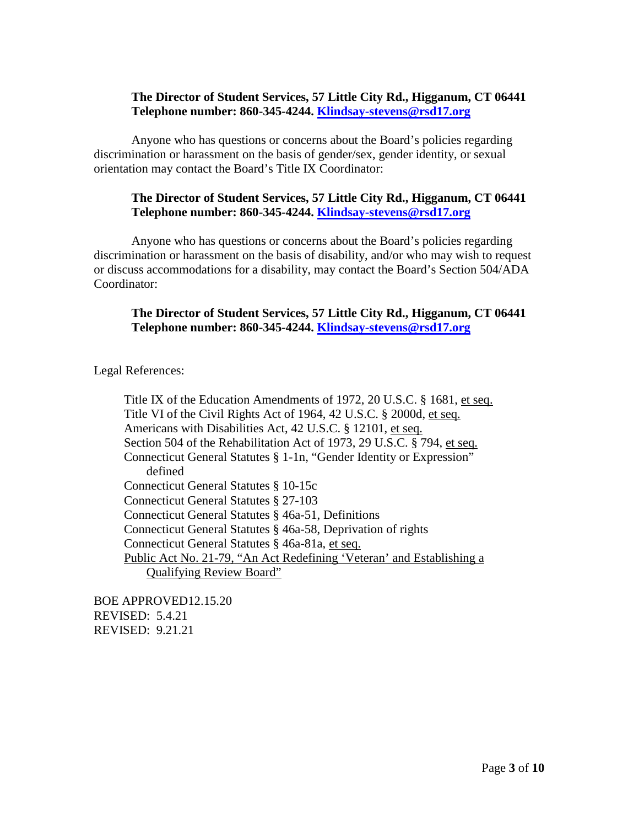## **The Director of Student Services, 57 Little City Rd., Higganum, CT 06441 Telephone number: 860-345-4244. [Klindsay-stevens@rsd17.org](mailto:Klindsay-stevens@rsd17.org)**

Anyone who has questions or concerns about the Board's policies regarding discrimination or harassment on the basis of gender/sex, gender identity, or sexual orientation may contact the Board's Title IX Coordinator:

#### **The Director of Student Services, 57 Little City Rd., Higganum, CT 06441 Telephone number: 860-345-4244. [Klindsay-stevens@rsd17.org](mailto:Klindsay-stevens@rsd17.org)**

Anyone who has questions or concerns about the Board's policies regarding discrimination or harassment on the basis of disability, and/or who may wish to request or discuss accommodations for a disability, may contact the Board's Section 504/ADA Coordinator:

## **The Director of Student Services, 57 Little City Rd., Higganum, CT 06441 Telephone number: 860-345-4244. [Klindsay-stevens@rsd17.org](mailto:Klindsay-stevens@rsd17.org)**

Legal References:

Title IX of the Education Amendments of 1972, 20 U.S.C. § 1681, et seq. Title VI of the Civil Rights Act of 1964, 42 U.S.C. § 2000d, et seq. Americans with Disabilities Act, 42 U.S.C. § 12101, et seq. Section 504 of the Rehabilitation Act of 1973, 29 U.S.C. § 794, et seq. Connecticut General Statutes § 1-1n, "Gender Identity or Expression" defined Connecticut General Statutes § 10-15c Connecticut General Statutes § 27-103 Connecticut General Statutes § 46a-51, Definitions Connecticut General Statutes § 46a-58, Deprivation of rights Connecticut General Statutes § 46a-81a, et seq. Public Act No. 21-79, "An Act Redefining 'Veteran' and Establishing a Qualifying Review Board"

BOE APPROVED12.15.20 REVISED: 5.4.21 REVISED: 9.21.21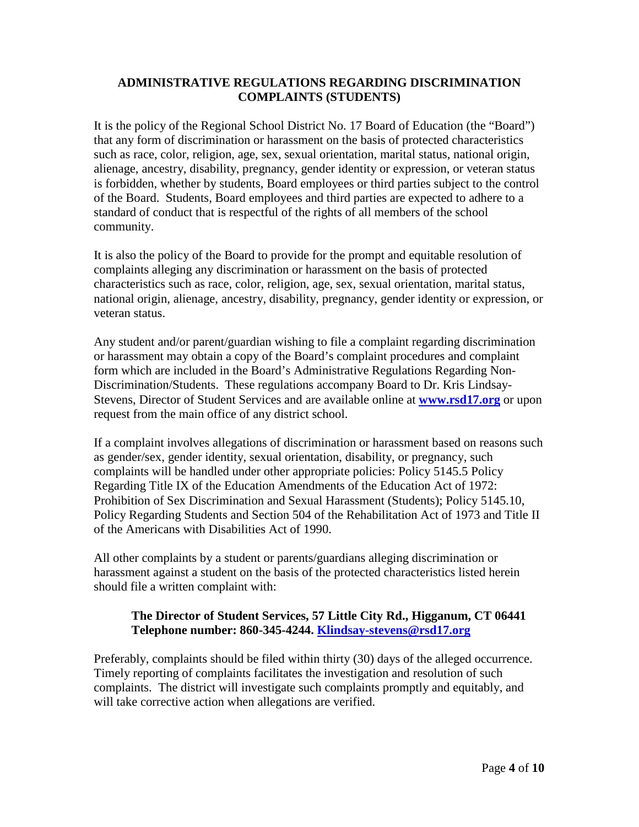## **ADMINISTRATIVE REGULATIONS REGARDING DISCRIMINATION COMPLAINTS (STUDENTS)**

It is the policy of the Regional School District No. 17 Board of Education (the "Board") that any form of discrimination or harassment on the basis of protected characteristics such as race, color, religion, age, sex, sexual orientation, marital status, national origin, alienage, ancestry, disability, pregnancy, gender identity or expression, or veteran status is forbidden, whether by students, Board employees or third parties subject to the control of the Board. Students, Board employees and third parties are expected to adhere to a standard of conduct that is respectful of the rights of all members of the school community.

It is also the policy of the Board to provide for the prompt and equitable resolution of complaints alleging any discrimination or harassment on the basis of protected characteristics such as race, color, religion, age, sex, sexual orientation, marital status, national origin, alienage, ancestry, disability, pregnancy, gender identity or expression, or veteran status.

Any student and/or parent/guardian wishing to file a complaint regarding discrimination or harassment may obtain a copy of the Board's complaint procedures and complaint form which are included in the Board's Administrative Regulations Regarding Non-Discrimination/Students. These regulations accompany Board to Dr. Kris Lindsay-Stevens, Director of Student Services and are available online at **[www.rsd17.org](http://www.rsd17.org/)** or upon request from the main office of any district school.

If a complaint involves allegations of discrimination or harassment based on reasons such as gender/sex, gender identity, sexual orientation, disability, or pregnancy, such complaints will be handled under other appropriate policies: Policy 5145.5 Policy Regarding Title IX of the Education Amendments of the Education Act of 1972: Prohibition of Sex Discrimination and Sexual Harassment (Students); Policy 5145.10, Policy Regarding Students and Section 504 of the Rehabilitation Act of 1973 and Title II of the Americans with Disabilities Act of 1990.

All other complaints by a student or parents/guardians alleging discrimination or harassment against a student on the basis of the protected characteristics listed herein should file a written complaint with:

# **The Director of Student Services, 57 Little City Rd., Higganum, CT 06441 Telephone number: 860-345-4244. [Klindsay-stevens@rsd17.org](mailto:Klindsay-stevens@rsd17.org)**

Preferably, complaints should be filed within thirty (30) days of the alleged occurrence. Timely reporting of complaints facilitates the investigation and resolution of such complaints. The district will investigate such complaints promptly and equitably, and will take corrective action when allegations are verified.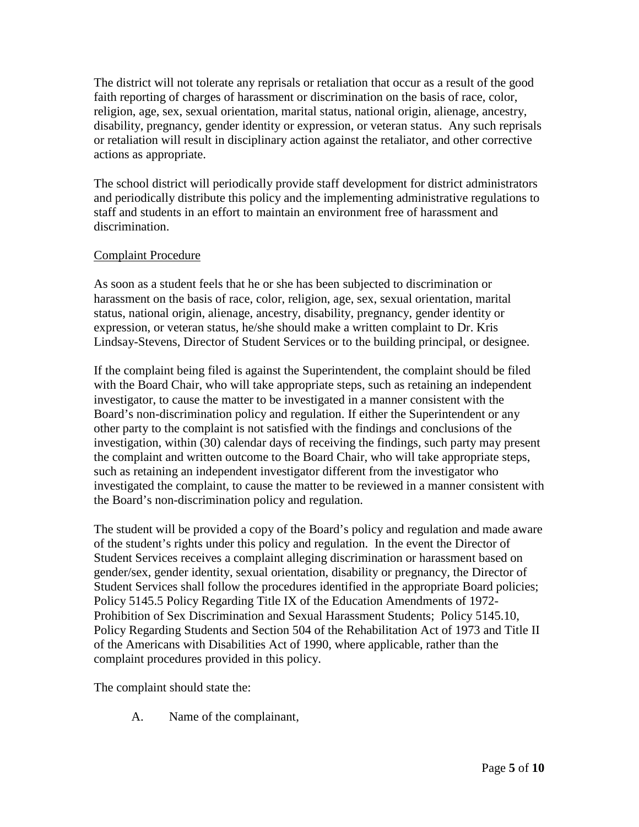The district will not tolerate any reprisals or retaliation that occur as a result of the good faith reporting of charges of harassment or discrimination on the basis of race, color, religion, age, sex, sexual orientation, marital status, national origin, alienage, ancestry, disability, pregnancy, gender identity or expression, or veteran status. Any such reprisals or retaliation will result in disciplinary action against the retaliator, and other corrective actions as appropriate.

The school district will periodically provide staff development for district administrators and periodically distribute this policy and the implementing administrative regulations to staff and students in an effort to maintain an environment free of harassment and discrimination.

## Complaint Procedure

As soon as a student feels that he or she has been subjected to discrimination or harassment on the basis of race, color, religion, age, sex, sexual orientation, marital status, national origin, alienage, ancestry, disability, pregnancy, gender identity or expression, or veteran status, he/she should make a written complaint to Dr. Kris Lindsay-Stevens, Director of Student Services or to the building principal, or designee.

If the complaint being filed is against the Superintendent, the complaint should be filed with the Board Chair, who will take appropriate steps, such as retaining an independent investigator, to cause the matter to be investigated in a manner consistent with the Board's non-discrimination policy and regulation. If either the Superintendent or any other party to the complaint is not satisfied with the findings and conclusions of the investigation, within (30) calendar days of receiving the findings, such party may present the complaint and written outcome to the Board Chair, who will take appropriate steps, such as retaining an independent investigator different from the investigator who investigated the complaint, to cause the matter to be reviewed in a manner consistent with the Board's non-discrimination policy and regulation.

The student will be provided a copy of the Board's policy and regulation and made aware of the student's rights under this policy and regulation. In the event the Director of Student Services receives a complaint alleging discrimination or harassment based on gender/sex, gender identity, sexual orientation, disability or pregnancy, the Director of Student Services shall follow the procedures identified in the appropriate Board policies; Policy 5145.5 Policy Regarding Title IX of the Education Amendments of 1972- Prohibition of Sex Discrimination and Sexual Harassment Students; Policy 5145.10, Policy Regarding Students and Section 504 of the Rehabilitation Act of 1973 and Title II of the Americans with Disabilities Act of 1990, where applicable, rather than the complaint procedures provided in this policy.

The complaint should state the:

A. Name of the complainant,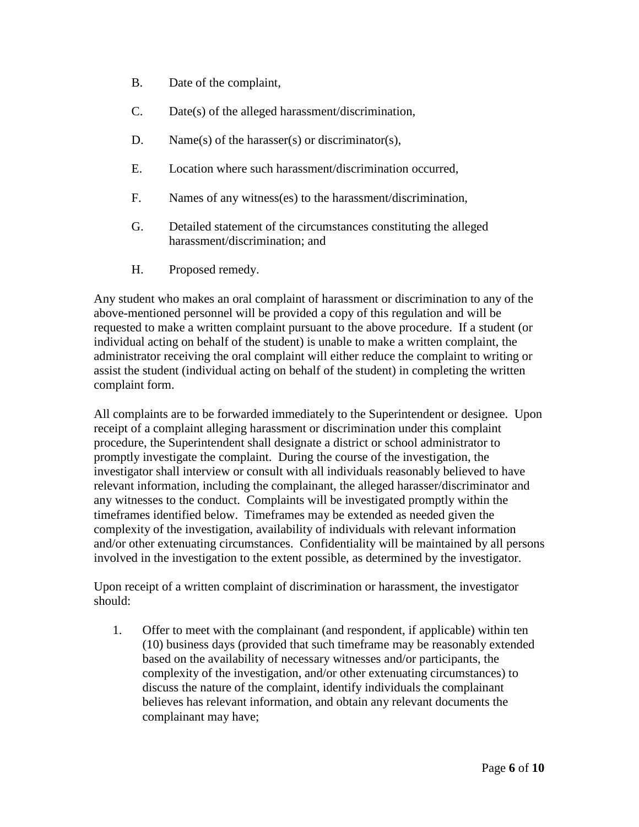- B. Date of the complaint,
- C. Date(s) of the alleged harassment/discrimination,
- D. Name(s) of the harasser(s) or discriminator(s),
- E. Location where such harassment/discrimination occurred,
- F. Names of any witness(es) to the harassment/discrimination,
- G. Detailed statement of the circumstances constituting the alleged harassment/discrimination; and
- H. Proposed remedy.

Any student who makes an oral complaint of harassment or discrimination to any of the above-mentioned personnel will be provided a copy of this regulation and will be requested to make a written complaint pursuant to the above procedure. If a student (or individual acting on behalf of the student) is unable to make a written complaint, the administrator receiving the oral complaint will either reduce the complaint to writing or assist the student (individual acting on behalf of the student) in completing the written complaint form.

All complaints are to be forwarded immediately to the Superintendent or designee. Upon receipt of a complaint alleging harassment or discrimination under this complaint procedure, the Superintendent shall designate a district or school administrator to promptly investigate the complaint. During the course of the investigation, the investigator shall interview or consult with all individuals reasonably believed to have relevant information, including the complainant, the alleged harasser/discriminator and any witnesses to the conduct. Complaints will be investigated promptly within the timeframes identified below. Timeframes may be extended as needed given the complexity of the investigation, availability of individuals with relevant information and/or other extenuating circumstances. Confidentiality will be maintained by all persons involved in the investigation to the extent possible, as determined by the investigator.

Upon receipt of a written complaint of discrimination or harassment, the investigator should:

1. Offer to meet with the complainant (and respondent, if applicable) within ten (10) business days (provided that such timeframe may be reasonably extended based on the availability of necessary witnesses and/or participants, the complexity of the investigation, and/or other extenuating circumstances) to discuss the nature of the complaint, identify individuals the complainant believes has relevant information, and obtain any relevant documents the complainant may have;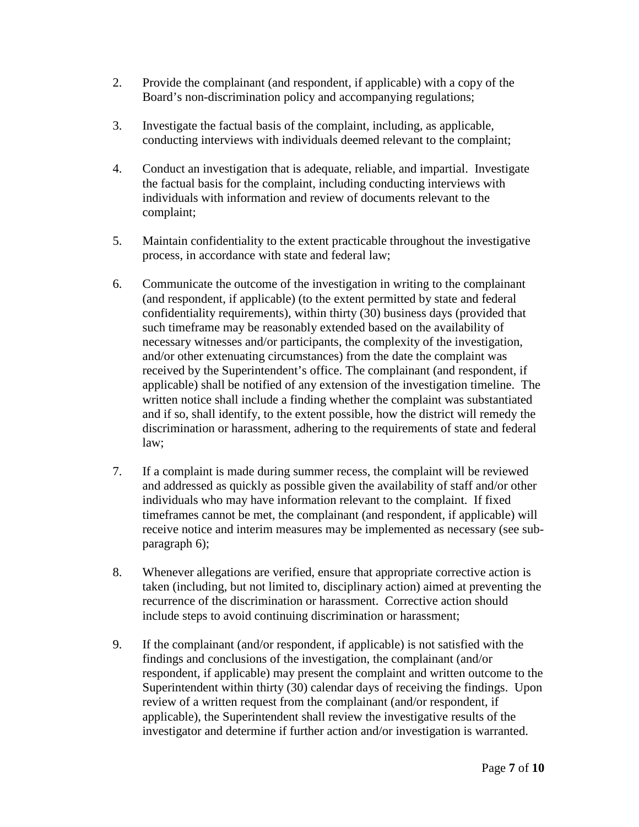- 2. Provide the complainant (and respondent, if applicable) with a copy of the Board's non-discrimination policy and accompanying regulations;
- 3. Investigate the factual basis of the complaint, including, as applicable, conducting interviews with individuals deemed relevant to the complaint;
- 4. Conduct an investigation that is adequate, reliable, and impartial. Investigate the factual basis for the complaint, including conducting interviews with individuals with information and review of documents relevant to the complaint;
- 5. Maintain confidentiality to the extent practicable throughout the investigative process, in accordance with state and federal law;
- 6. Communicate the outcome of the investigation in writing to the complainant (and respondent, if applicable) (to the extent permitted by state and federal confidentiality requirements), within thirty (30) business days (provided that such timeframe may be reasonably extended based on the availability of necessary witnesses and/or participants, the complexity of the investigation, and/or other extenuating circumstances) from the date the complaint was received by the Superintendent's office. The complainant (and respondent, if applicable) shall be notified of any extension of the investigation timeline. The written notice shall include a finding whether the complaint was substantiated and if so, shall identify, to the extent possible, how the district will remedy the discrimination or harassment, adhering to the requirements of state and federal law;
- 7. If a complaint is made during summer recess, the complaint will be reviewed and addressed as quickly as possible given the availability of staff and/or other individuals who may have information relevant to the complaint. If fixed timeframes cannot be met, the complainant (and respondent, if applicable) will receive notice and interim measures may be implemented as necessary (see subparagraph 6);
- 8. Whenever allegations are verified, ensure that appropriate corrective action is taken (including, but not limited to, disciplinary action) aimed at preventing the recurrence of the discrimination or harassment. Corrective action should include steps to avoid continuing discrimination or harassment;
- 9. If the complainant (and/or respondent, if applicable) is not satisfied with the findings and conclusions of the investigation, the complainant (and/or respondent, if applicable) may present the complaint and written outcome to the Superintendent within thirty (30) calendar days of receiving the findings. Upon review of a written request from the complainant (and/or respondent, if applicable), the Superintendent shall review the investigative results of the investigator and determine if further action and/or investigation is warranted.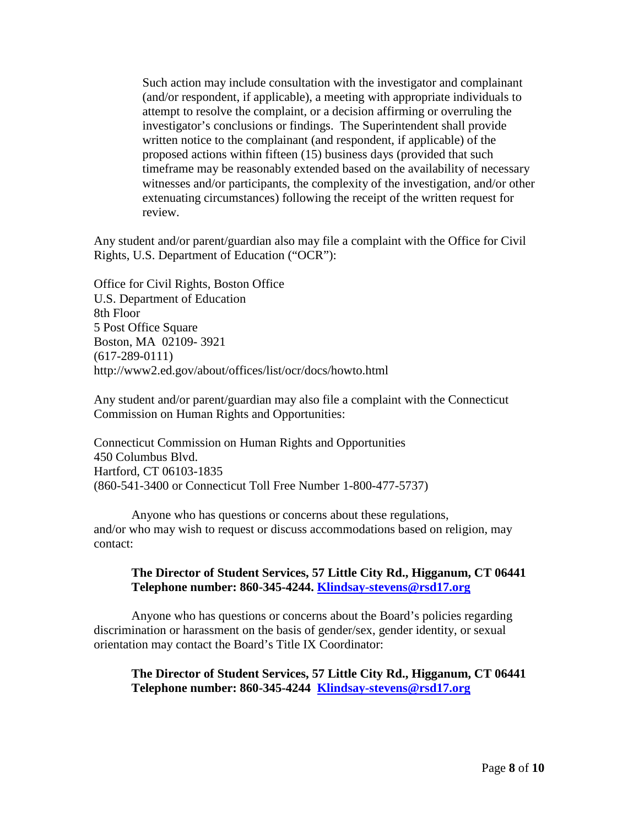Such action may include consultation with the investigator and complainant (and/or respondent, if applicable), a meeting with appropriate individuals to attempt to resolve the complaint, or a decision affirming or overruling the investigator's conclusions or findings. The Superintendent shall provide written notice to the complainant (and respondent, if applicable) of the proposed actions within fifteen (15) business days (provided that such timeframe may be reasonably extended based on the availability of necessary witnesses and/or participants, the complexity of the investigation, and/or other extenuating circumstances) following the receipt of the written request for review.

Any student and/or parent/guardian also may file a complaint with the Office for Civil Rights, U.S. Department of Education ("OCR"):

Office for Civil Rights, Boston Office U.S. Department of Education 8th Floor 5 Post Office Square Boston, MA 02109- 3921 (617-289-0111) http://www2.ed.gov/about/offices/list/ocr/docs/howto.html

Any student and/or parent/guardian may also file a complaint with the Connecticut Commission on Human Rights and Opportunities:

Connecticut Commission on Human Rights and Opportunities 450 Columbus Blvd. Hartford, CT 06103-1835 (860-541-3400 or Connecticut Toll Free Number 1-800-477-5737)

Anyone who has questions or concerns about these regulations, and/or who may wish to request or discuss accommodations based on religion, may contact:

## **The Director of Student Services, 57 Little City Rd., Higganum, CT 06441 Telephone number: 860-345-4244. [Klindsay-stevens@rsd17.org](mailto:Klindsay-stevens@rsd17.org)**

Anyone who has questions or concerns about the Board's policies regarding discrimination or harassment on the basis of gender/sex, gender identity, or sexual orientation may contact the Board's Title IX Coordinator:

**The Director of Student Services, 57 Little City Rd., Higganum, CT 06441 Telephone number: 860-345-4244 [Klindsay-stevens@rsd17.org](mailto:Klindsay-stevens@rsd17.org)**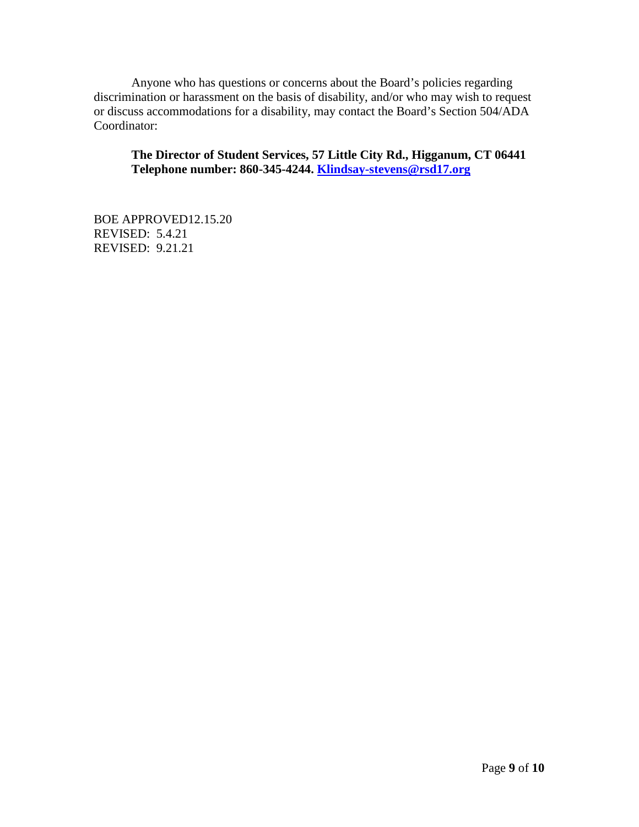Anyone who has questions or concerns about the Board's policies regarding discrimination or harassment on the basis of disability, and/or who may wish to request or discuss accommodations for a disability, may contact the Board's Section 504/ADA Coordinator:

**The Director of Student Services, 57 Little City Rd., Higganum, CT 06441 Telephone number: 860-345-4244. [Klindsay-stevens@rsd17.org](mailto:Klindsay-stevens@rsd17.org)**

BOE APPROVED12.15.20 REVISED: 5.4.21 REVISED: 9.21.21